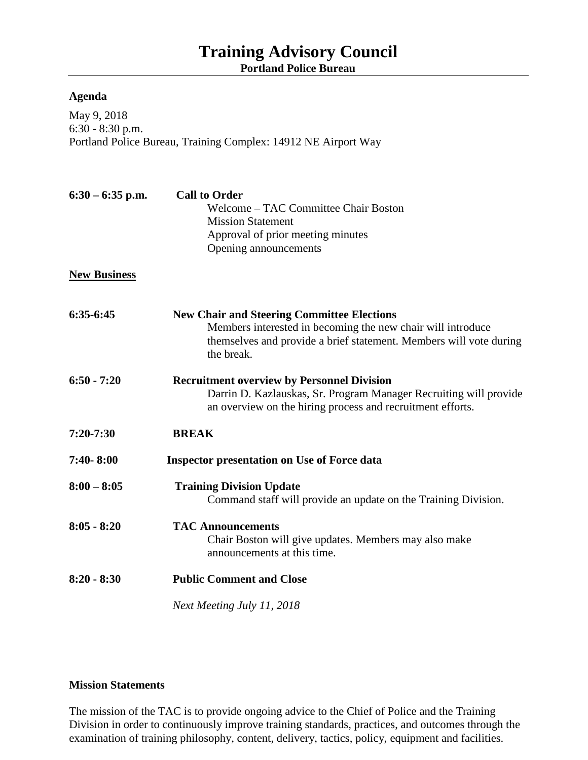## **Training Advisory Council Portland Police Bureau**

## **Agenda**

May 9, 2018 6:30 - 8:30 p.m. Portland Police Bureau, Training Complex: 14912 NE Airport Way

| $6:30 - 6:35$ p.m.  | <b>Call to Order</b><br><b>Welcome - TAC Committee Chair Boston</b><br><b>Mission Statement</b><br>Approval of prior meeting minutes<br>Opening announcements                                        |
|---------------------|------------------------------------------------------------------------------------------------------------------------------------------------------------------------------------------------------|
| <b>New Business</b> |                                                                                                                                                                                                      |
| 6:35-6:45           | <b>New Chair and Steering Committee Elections</b><br>Members interested in becoming the new chair will introduce<br>themselves and provide a brief statement. Members will vote during<br>the break. |
| $6:50 - 7:20$       | <b>Recruitment overview by Personnel Division</b><br>Darrin D. Kazlauskas, Sr. Program Manager Recruiting will provide<br>an overview on the hiring process and recruitment efforts.                 |
| $7:20 - 7:30$       | <b>BREAK</b>                                                                                                                                                                                         |
| 7:40-8:00           | <b>Inspector presentation on Use of Force data</b>                                                                                                                                                   |
| $8:00 - 8:05$       | <b>Training Division Update</b><br>Command staff will provide an update on the Training Division.                                                                                                    |
| $8:05 - 8:20$       | <b>TAC Announcements</b><br>Chair Boston will give updates. Members may also make<br>announcements at this time.                                                                                     |
| $8:20 - 8:30$       | <b>Public Comment and Close</b>                                                                                                                                                                      |
|                     | Next Meeting July 11, 2018                                                                                                                                                                           |

## **Mission Statements**

The mission of the TAC is to provide ongoing advice to the Chief of Police and the Training Division in order to continuously improve training standards, practices, and outcomes through the examination of training philosophy, content, delivery, tactics, policy, equipment and facilities.